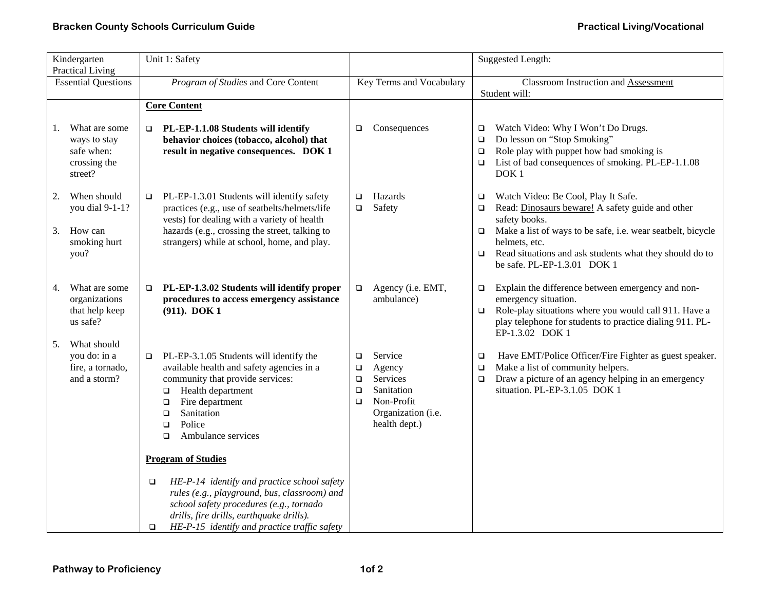| Kindergarten                                          |                                                                        | Unit 1: Safety                                                                                                                                                                                                                                                         |                                           | <b>Suggested Length:</b>                                                                         |                                      |                                                                                                                                                                                                                   |  |
|-------------------------------------------------------|------------------------------------------------------------------------|------------------------------------------------------------------------------------------------------------------------------------------------------------------------------------------------------------------------------------------------------------------------|-------------------------------------------|--------------------------------------------------------------------------------------------------|--------------------------------------|-------------------------------------------------------------------------------------------------------------------------------------------------------------------------------------------------------------------|--|
| <b>Practical Living</b><br><b>Essential Questions</b> |                                                                        | Program of Studies and Core Content                                                                                                                                                                                                                                    |                                           | Key Terms and Vocabulary                                                                         |                                      | <b>Classroom Instruction and Assessment</b><br>Student will:                                                                                                                                                      |  |
|                                                       |                                                                        | <b>Core Content</b>                                                                                                                                                                                                                                                    |                                           |                                                                                                  |                                      |                                                                                                                                                                                                                   |  |
| 1.                                                    | What are some<br>ways to stay<br>safe when:<br>crossing the<br>street? | PL-EP-1.1.08 Students will identify<br>$\Box$<br>behavior choices (tobacco, alcohol) that<br>result in negative consequences. DOK 1                                                                                                                                    | о                                         | Consequences                                                                                     | $\Box$<br>$\Box$<br>$\Box$<br>$\Box$ | Watch Video: Why I Won't Do Drugs.<br>Do lesson on "Stop Smoking"<br>Role play with puppet how bad smoking is<br>List of bad consequences of smoking. PL-EP-1.1.08<br>DOK <sub>1</sub>                            |  |
| 2.<br>3.                                              | When should<br>you dial 9-1-1?<br>How can                              | PL-EP-1.3.01 Students will identify safety<br>$\Box$<br>practices (e.g., use of seatbelts/helmets/life<br>vests) for dealing with a variety of health<br>hazards (e.g., crossing the street, talking to                                                                | $\Box$<br>$\Box$                          | Hazards<br>Safety                                                                                | $\Box$<br>$\Box$<br>$\Box$           | Watch Video: Be Cool, Play It Safe.<br>Read: Dinosaurs beware! A safety guide and other<br>safety books.<br>Make a list of ways to be safe, i.e. wear seatbelt, bicycle                                           |  |
|                                                       | smoking hurt<br>you?                                                   | strangers) while at school, home, and play.                                                                                                                                                                                                                            |                                           |                                                                                                  | $\Box$                               | helmets, etc.<br>Read situations and ask students what they should do to<br>be safe. PL-EP-1.3.01 DOK 1                                                                                                           |  |
| 4.                                                    | What are some<br>organizations<br>that help keep<br>us safe?           | PL-EP-1.3.02 Students will identify proper<br>$\Box$<br>procedures to access emergency assistance<br>(911). DOK 1                                                                                                                                                      | $\Box$                                    | Agency (i.e. EMT,<br>ambulance)                                                                  | $\Box$<br>$\Box$                     | Explain the difference between emergency and non-<br>emergency situation.<br>Role-play situations where you would call 911. Have a<br>play telephone for students to practice dialing 911. PL-<br>EP-1.3.02 DOK 1 |  |
| 5.                                                    | What should<br>you do: in a<br>fire, a tornado,<br>and a storm?        | PL-EP-3.1.05 Students will identify the<br>O.<br>available health and safety agencies in a<br>community that provide services:<br>Health department<br>$\Box$<br>Fire department<br>$\Box$<br>Sanitation<br>$\Box$<br>Police<br>$\Box$<br>Ambulance services<br>$\Box$ | $\Box$<br>о<br>$\Box$<br>$\Box$<br>$\Box$ | Service<br>Agency<br>Services<br>Sanitation<br>Non-Profit<br>Organization (i.e.<br>health dept.) | $\Box$<br>$\Box$<br>$\Box$           | Have EMT/Police Officer/Fire Fighter as guest speaker.<br>Make a list of community helpers.<br>Draw a picture of an agency helping in an emergency<br>situation. PL-EP-3.1.05 DOK 1                               |  |
|                                                       |                                                                        | <b>Program of Studies</b>                                                                                                                                                                                                                                              |                                           |                                                                                                  |                                      |                                                                                                                                                                                                                   |  |
|                                                       |                                                                        | HE-P-14 identify and practice school safety<br>▫<br>rules (e.g., playground, bus, classroom) and<br>school safety procedures (e.g., tornado<br>drills, fire drills, earthquake drills).<br>HE-P-15 identify and practice traffic safety<br>$\Box$                      |                                           |                                                                                                  |                                      |                                                                                                                                                                                                                   |  |